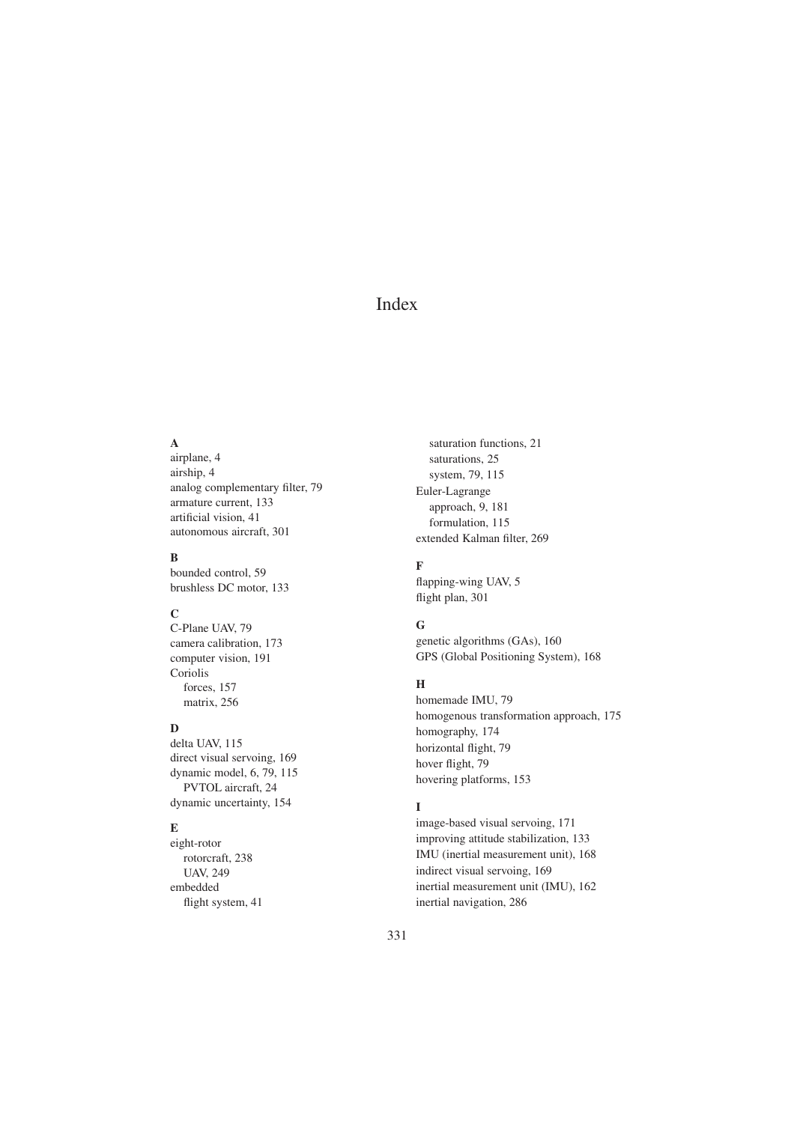# Index

## A

airplane, 4 airship, 4 analog complementary filter, 79 armature current, 133 artificial vision, 41 autonomous aircraft, 301

## B

bounded control, 59 brushless DC motor, 133

## C

C-Plane UAV, 79 camera calibration, 173 computer vision, 191 Coriolis forces, 157 matrix, 256

## $\mathbf{D}$

delta UAV, 115 direct visual servoing, 169 dynamic model, 6, 79, 115 PVTOL aircraft, 24 dynamic uncertainty, 154

### E

eight-rotor rotorcraft, 238 UAV, 249 embedded flight system, 41

saturation functions, 21 saturations, 25 system, 79, 115 Euler-Lagrange approach, 9, 181 formulation, 115 extended Kalman filter, 269

## F

flapping-wing UAV, 5 flight plan, 301

## G

genetic algorithms (GAs), 160 GPS (Global Positioning System), 168

## H

homemade IMU, 79 homogenous transformation approach, 175 homography, 174 horizontal flight, 79 hover flight, 79 hovering platforms, 153

## I

image-based visual servoing, 171 improving attitude stabilization, 133 IMU (inertial measurement unit), 168 indirect visual servoing, 169 inertial measurement unit (IMU), 162 inertial navigation, 286